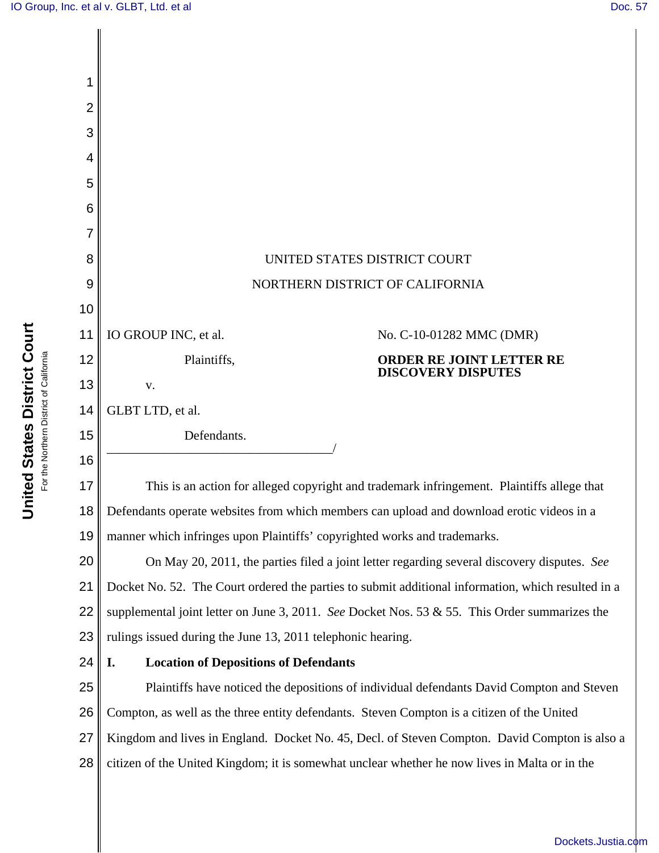| 2  |                                                                                                    |  |  |
|----|----------------------------------------------------------------------------------------------------|--|--|
| 3  |                                                                                                    |  |  |
| 4  |                                                                                                    |  |  |
| 5  |                                                                                                    |  |  |
| 6  |                                                                                                    |  |  |
|    |                                                                                                    |  |  |
| 8  | UNITED STATES DISTRICT COURT                                                                       |  |  |
| 9  | NORTHERN DISTRICT OF CALIFORNIA                                                                    |  |  |
| 10 |                                                                                                    |  |  |
| 11 | IO GROUP INC, et al.<br>No. C-10-01282 MMC (DMR)                                                   |  |  |
| 12 | Plaintiffs,<br><b>ORDER RE JOINT LETTER RE</b><br><b>DISCOVERY DISPUTES</b>                        |  |  |
| 13 | V.                                                                                                 |  |  |
| 14 | GLBT LTD, et al.                                                                                   |  |  |
| 15 | Defendants.                                                                                        |  |  |
| 16 |                                                                                                    |  |  |
| 17 | This is an action for alleged copyright and trademark infringement. Plaintiffs allege that         |  |  |
| 18 | Defendants operate websites from which members can upload and download erotic videos in a          |  |  |
| 19 | manner which infringes upon Plaintiffs' copyrighted works and trademarks.                          |  |  |
| 20 | On May 20, 2011, the parties filed a joint letter regarding several discovery disputes. See        |  |  |
| 21 | Docket No. 52. The Court ordered the parties to submit additional information, which resulted in a |  |  |
| 22 | supplemental joint letter on June 3, 2011. See Docket Nos. 53 & 55. This Order summarizes the      |  |  |
| 23 | rulings issued during the June 13, 2011 telephonic hearing.                                        |  |  |
| 24 | <b>Location of Depositions of Defendants</b><br>I.                                                 |  |  |
| 25 | Plaintiffs have noticed the depositions of individual defendants David Compton and Steven          |  |  |
| 26 | Compton, as well as the three entity defendants. Steven Compton is a citizen of the United         |  |  |
| 27 | Kingdom and lives in England. Docket No. 45, Decl. of Steven Compton. David Compton is also a      |  |  |
| 28 | citizen of the United Kingdom; it is somewhat unclear whether he now lives in Malta or in the      |  |  |
|    |                                                                                                    |  |  |

**United States District Court**<br>For the Northern District of California **United States District Court** For the Northern District of California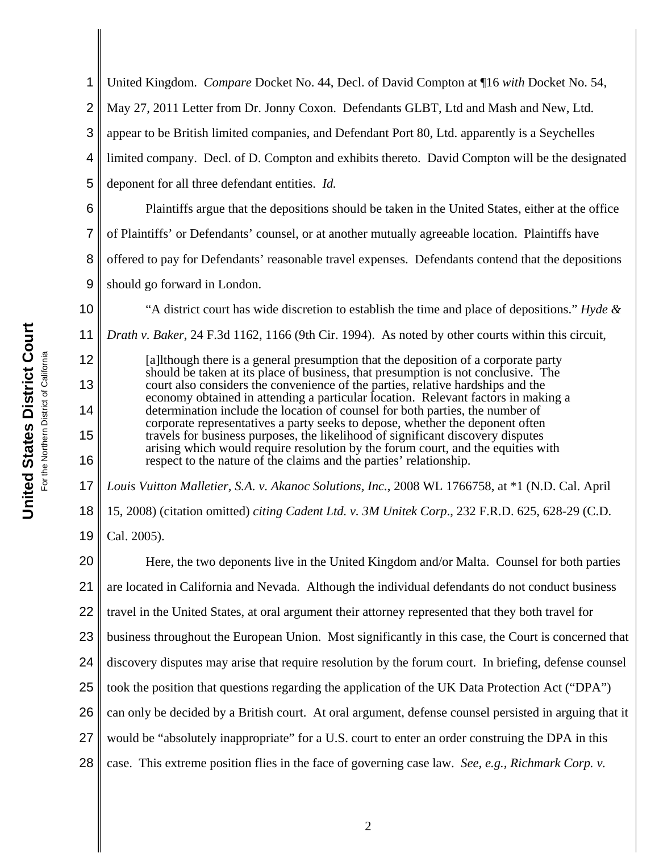1 2 3 4 18 19 20 21 22 23 24 25 United Kingdom. *Compare* Docket No. 44, Decl. of David Compton at ¶16 *with* Docket No. 54, May 27, 2011 Letter from Dr. Jonny Coxon. Defendants GLBT, Ltd and Mash and New, Ltd. appear to be British limited companies, and Defendant Port 80, Ltd. apparently is a Seychelles limited company. Decl. of D. Compton and exhibits thereto. David Compton will be the designated deponent for all three defendant entities. *Id.* Plaintiffs argue that the depositions should be taken in the United States, either at the office of Plaintiffs' or Defendants' counsel, or at another mutually agreeable location. Plaintiffs have offered to pay for Defendants' reasonable travel expenses. Defendants contend that the depositions should go forward in London. "A district court has wide discretion to establish the time and place of depositions." *Hyde & Drath v. Baker*, 24 F.3d 1162, 1166 (9th Cir. 1994). As noted by other courts within this circuit, [a]lthough there is a general presumption that the deposition of a corporate party should be taken at its place of business, that presumption is not conclusive. The court also considers the convenience of the parties, relative hardships and the economy obtained in attending a particular location. Relevant factors in making a determination include the location of counsel for both parties, the number of corporate representatives a party seeks to depose, whether the deponent often travels for business purposes, the likelihood of significant discovery disputes arising which would require resolution by the forum court, and the equities with respect to the nature of the claims and the parties' relationship. *Louis Vuitton Malletier, S.A. v. Akanoc Solutions, Inc.*, 2008 WL 1766758, at \*1 (N.D. Cal. April 15, 2008) (citation omitted) *citing Cadent Ltd. v. 3M Unitek Corp*., 232 F.R.D. 625, 628-29 (C.D. Cal. 2005). Here, the two deponents live in the United Kingdom and/or Malta. Counsel for both parties are located in California and Nevada. Although the individual defendants do not conduct business travel in the United States, at oral argument their attorney represented that they both travel for business throughout the European Union. Most significantly in this case, the Court is concerned that discovery disputes may arise that require resolution by the forum court. In briefing, defense counsel took the position that questions regarding the application of the UK Data Protection Act ("DPA")

26 can only be decided by a British court. At oral argument, defense counsel persisted in arguing that it

27 would be "absolutely inappropriate" for a U.S. court to enter an order construing the DPA in this

28 case. This extreme position flies in the face of governing case law. *See, e.g., Richmark Corp. v.*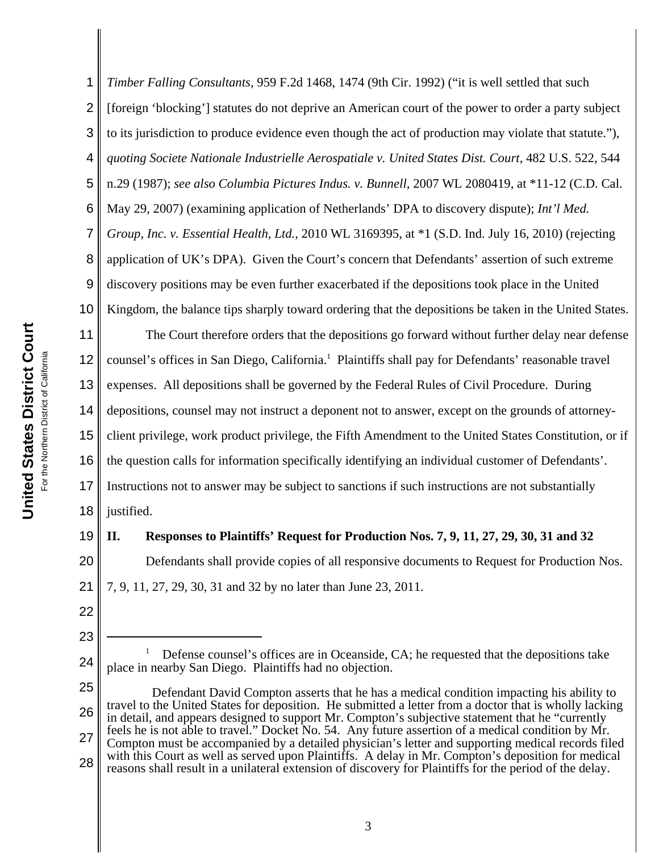1 2 3 4 5 6 7 8 9 10 11 *Timber Falling Consultants*, 959 F.2d 1468, 1474 (9th Cir. 1992) ("it is well settled that such [foreign 'blocking'] statutes do not deprive an American court of the power to order a party subject to its jurisdiction to produce evidence even though the act of production may violate that statute."), *quoting Societe Nationale Industrielle Aerospatiale v. United States Dist. Court*, 482 U.S. 522, 544 n.29 (1987); *see also Columbia Pictures Indus. v. Bunnell*, 2007 WL 2080419, at \*11-12 (C.D. Cal. May 29, 2007) (examining application of Netherlands' DPA to discovery dispute); *Int'l Med. Group, Inc. v. Essential Health, Ltd.*, 2010 WL 3169395, at \*1 (S.D. Ind. July 16, 2010) (rejecting application of UK's DPA). Given the Court's concern that Defendants' assertion of such extreme discovery positions may be even further exacerbated if the depositions took place in the United Kingdom, the balance tips sharply toward ordering that the depositions be taken in the United States. The Court therefore orders that the depositions go forward without further delay near defense

12 13 14 15 16 17 counsel's offices in San Diego, California.<sup>1</sup> Plaintiffs shall pay for Defendants' reasonable travel expenses. All depositions shall be governed by the Federal Rules of Civil Procedure. During depositions, counsel may not instruct a deponent not to answer, except on the grounds of attorneyclient privilege, work product privilege, the Fifth Amendment to the United States Constitution, or if the question calls for information specifically identifying an individual customer of Defendants'. Instructions not to answer may be subject to sanctions if such instructions are not substantially

18 justified.

## **II. Responses to Plaintiffs' Request for Production Nos. 7, 9, 11, 27, 29, 30, 31 and 32**

20 21 Defendants shall provide copies of all responsive documents to Request for Production Nos. 7, 9, 11, 27, 29, 30, 31 and 32 by no later than June 23, 2011.

22 23

19

- 24 1 Defense counsel's offices are in Oceanside, CA; he requested that the depositions take place in nearby San Diego. Plaintiffs had no objection.
- 25 26 27 28 Defendant David Compton asserts that he has a medical condition impacting his ability to travel to the United States for deposition. He submitted a letter from a doctor that is wholly lacking in detail, and appears designed to support Mr. Compton's subjective statement that he "currently feels he is not able to travel." Docket No. 54. Any future assertion of a medical condition by Mr. Compton must be accompanied by a detailed physician's letter and supporting medical records filed with this Court as well as served upon Plaintiffs. A delay in Mr. Compton's deposition for medical reasons shall result in a unilateral extension of discovery for Plaintiffs for the period of the delay.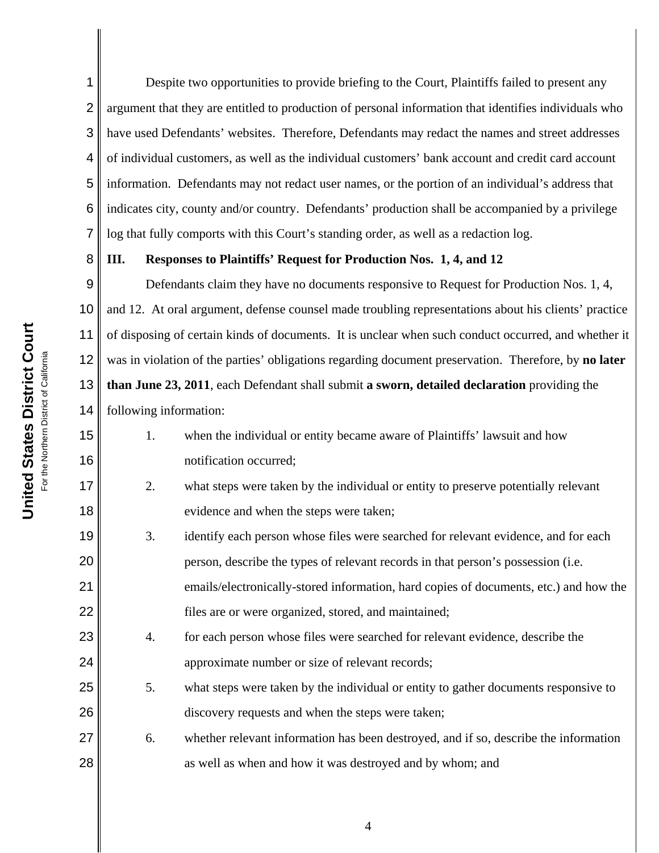United States District Court **United States District Court** For the Northern District of California or the Northern District of California 8

15

16

17

18

19

20

21

22

23

24

25

26

27

28

1 2 3 4 5 6 7 Despite two opportunities to provide briefing to the Court, Plaintiffs failed to present any argument that they are entitled to production of personal information that identifies individuals who have used Defendants' websites. Therefore, Defendants may redact the names and street addresses of individual customers, as well as the individual customers' bank account and credit card account information. Defendants may not redact user names, or the portion of an individual's address that indicates city, county and/or country. Defendants' production shall be accompanied by a privilege log that fully comports with this Court's standing order, as well as a redaction log.

## **III. Responses to Plaintiffs' Request for Production Nos. 1, 4, and 12**

9 10 11 12 13 14 Defendants claim they have no documents responsive to Request for Production Nos. 1, 4, and 12. At oral argument, defense counsel made troubling representations about his clients' practice of disposing of certain kinds of documents. It is unclear when such conduct occurred, and whether it was in violation of the parties' obligations regarding document preservation. Therefore, by **no later than June 23, 2011**, each Defendant shall submit **a sworn, detailed declaration** providing the following information:

- 1. when the individual or entity became aware of Plaintiffs' lawsuit and how notification occurred;
	- 2. what steps were taken by the individual or entity to preserve potentially relevant evidence and when the steps were taken;
- 3. identify each person whose files were searched for relevant evidence, and for each person, describe the types of relevant records in that person's possession (i.e. emails/electronically-stored information, hard copies of documents, etc.) and how the files are or were organized, stored, and maintained;
- 4. for each person whose files were searched for relevant evidence, describe the approximate number or size of relevant records;
- 5. what steps were taken by the individual or entity to gather documents responsive to discovery requests and when the steps were taken;
- 6. whether relevant information has been destroyed, and if so, describe the information as well as when and how it was destroyed and by whom; and